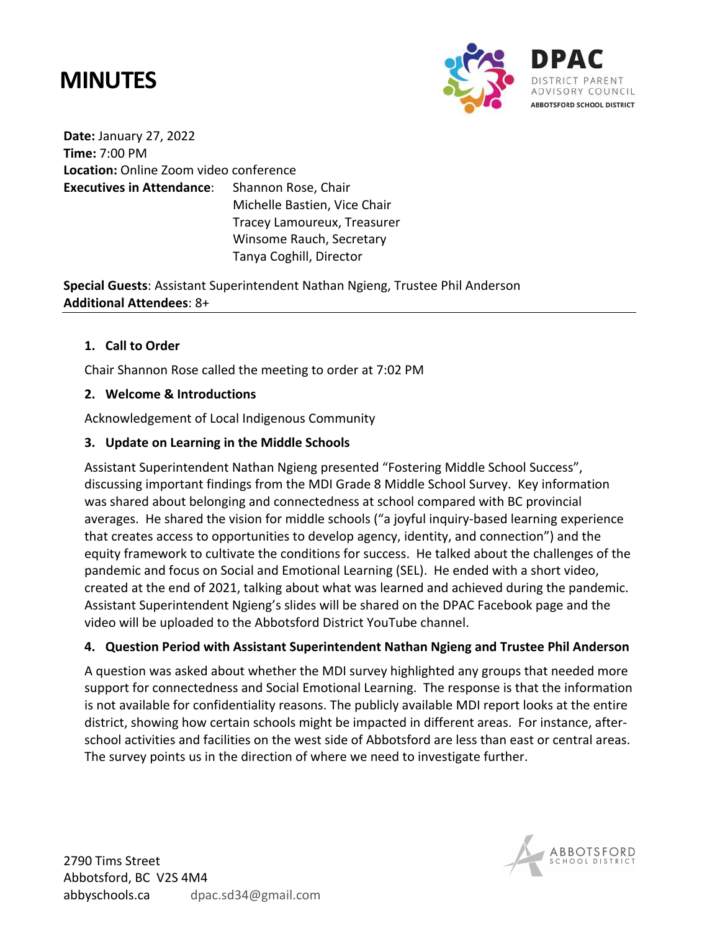# **MINUTES**



**Date:** January 27, 2022 **Time:** 7:00 PM **Location:** Online Zoom video conference **Executives in Attendance**: Shannon Rose, Chair Michelle Bastien, Vice Chair

Tracey Lamoureux, Treasurer Winsome Rauch, Secretary Tanya Coghill, Director

**Special Guests**: Assistant Superintendent Nathan Ngieng, Trustee Phil Anderson **Additional Attendees**: 8+

## **1. Call to Order**

Chair Shannon Rose called the meeting to order at 7:02 PM

# **2. Welcome & Introductions**

Acknowledgement of Local Indigenous Community

# **3. Update on Learning in the Middle Schools**

Assistant Superintendent Nathan Ngieng presented "Fostering Middle School Success", discussing important findings from the MDI Grade 8 Middle School Survey. Key information was shared about belonging and connectedness at school compared with BC provincial averages. He shared the vision for middle schools ("a joyful inquiry-based learning experience that creates access to opportunities to develop agency, identity, and connection") and the equity framework to cultivate the conditions for success. He talked about the challenges of the pandemic and focus on Social and Emotional Learning (SEL). He ended with a short video, created at the end of 2021, talking about what was learned and achieved during the pandemic. Assistant Superintendent Ngieng's slides will be shared on the DPAC Facebook page and the video will be uploaded to the Abbotsford District YouTube channel.

## **4. Question Period with Assistant Superintendent Nathan Ngieng and Trustee Phil Anderson**

A question was asked about whether the MDI survey highlighted any groups that needed more support for connectedness and Social Emotional Learning. The response is that the information is not available for confidentiality reasons. The publicly available MDI report looks at the entire district, showing how certain schools might be impacted in different areas. For instance, afterschool activities and facilities on the west side of Abbotsford are less than east or central areas. The survey points us in the direction of where we need to investigate further.

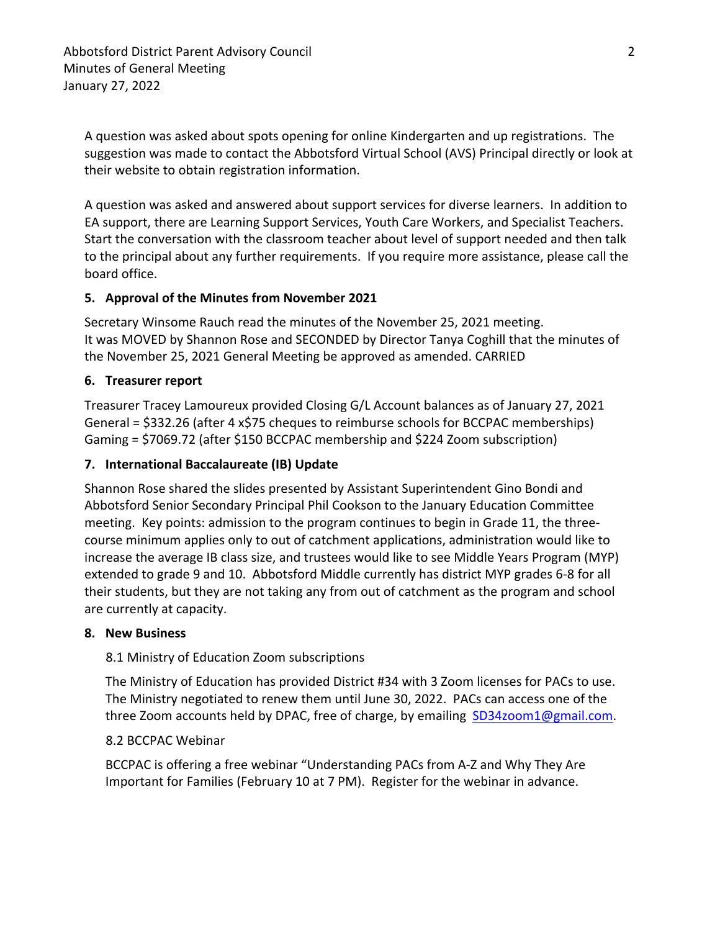A question was asked about spots opening for online Kindergarten and up registrations. The suggestion was made to contact the Abbotsford Virtual School (AVS) Principal directly or look at their website to obtain registration information.

A question was asked and answered about support services for diverse learners. In addition to EA support, there are Learning Support Services, Youth Care Workers, and Specialist Teachers. Start the conversation with the classroom teacher about level of support needed and then talk to the principal about any further requirements. If you require more assistance, please call the board office.

## **5. Approval of the Minutes from November 2021**

Secretary Winsome Rauch read the minutes of the November 25, 2021 meeting. It was MOVED by Shannon Rose and SECONDED by Director Tanya Coghill that the minutes of the November 25, 2021 General Meeting be approved as amended. CARRIED

## **6. Treasurer report**

Treasurer Tracey Lamoureux provided Closing G/L Account balances as of January 27, 2021 General = \$332.26 (after 4 x\$75 cheques to reimburse schools for BCCPAC memberships) Gaming = \$7069.72 (after \$150 BCCPAC membership and \$224 Zoom subscription)

## **7. International Baccalaureate (IB) Update**

Shannon Rose shared the slides presented by Assistant Superintendent Gino Bondi and Abbotsford Senior Secondary Principal Phil Cookson to the January Education Committee meeting. Key points: admission to the program continues to begin in Grade 11, the threecourse minimum applies only to out of catchment applications, administration would like to increase the average IB class size, and trustees would like to see Middle Years Program (MYP) extended to grade 9 and 10. Abbotsford Middle currently has district MYP grades 6-8 for all their students, but they are not taking any from out of catchment as the program and school are currently at capacity.

## **8. New Business**

## 8.1 Ministry of Education Zoom subscriptions

The Ministry of Education has provided District #34 with 3 Zoom licenses for PACs to use. The Ministry negotiated to renew them until June 30, 2022. PACs can access one of the three Zoom accounts held by DPAC, free of charge, by emailing SD34zoom1@gmail.com.

## 8.2 BCCPAC Webinar

BCCPAC is offering a free webinar "Understanding PACs from A-Z and Why They Are Important for Families (February 10 at 7 PM). Register for the webinar in advance.